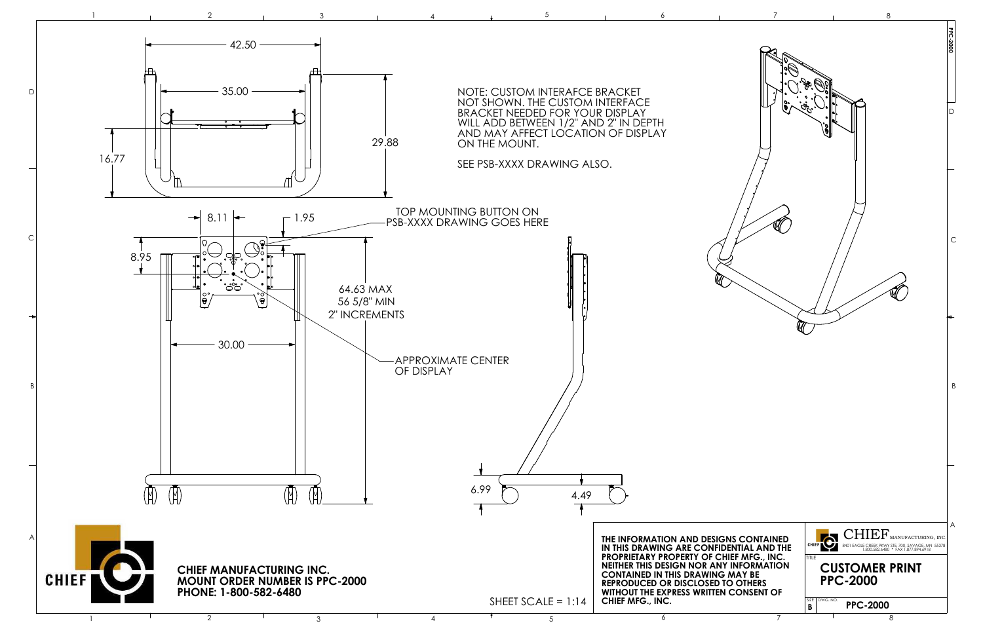